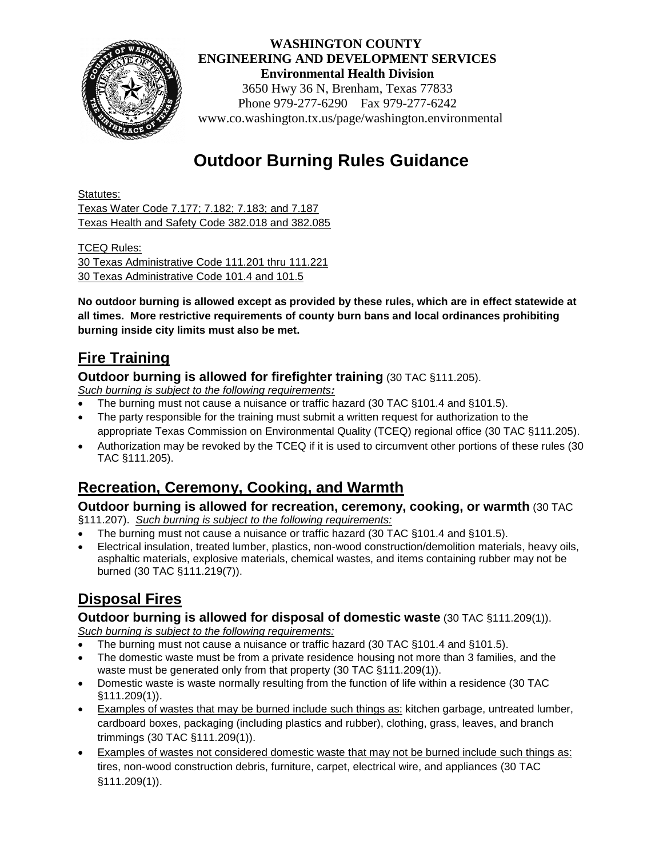

 **WASHINGTON COUNTY ENGINEERING AND DEVELOPMENT SERVICES Environmental Health Division** 3650 Hwy 36 N, Brenham, Texas 77833 Phone 979-277-6290 Fax 979-277-6242 www.co.washington.tx.us/page/washington.environmental

# **Outdoor Burning Rules Guidance**

Statutes: Texas Water Code 7.177; 7.182; 7.183; and 7.187 Texas Health and Safety Code 382.018 and 382.085

TCEQ Rules: 30 Texas Administrative Code 111.201 thru 111.221 30 Texas Administrative Code 101.4 and 101.5

**No outdoor burning is allowed except as provided by these rules, which are in effect statewide at all times. More restrictive requirements of county burn bans and local ordinances prohibiting burning inside city limits must also be met.**

### **Fire Training**

**Outdoor burning is allowed for firefighter training** (30 TAC §111.205).

*Such burning is subject to the following requirements:*

- The burning must not cause a nuisance or traffic hazard (30 TAC §101.4 and §101.5).
- The party responsible for the training must submit a written request for authorization to the appropriate Texas Commission on Environmental Quality (TCEQ) regional office (30 TAC §111.205).
- Authorization may be revoked by the TCEQ if it is used to circumvent other portions of these rules (30 TAC §111.205).

## **Recreation, Ceremony, Cooking, and Warmth**

#### **Outdoor burning is allowed for recreation, ceremony, cooking, or warmth** (30 TAC

§111.207). *Such burning is subject to the following requirements:*

- The burning must not cause a nuisance or traffic hazard (30 TAC §101.4 and §101.5).
- Electrical insulation, treated lumber, plastics, non-wood construction/demolition materials, heavy oils, asphaltic materials, explosive materials, chemical wastes, and items containing rubber may not be burned (30 TAC §111.219(7)).

## **Disposal Fires**

#### **Outdoor burning is allowed for disposal of domestic waste** (30 TAC §111.209(1)).

*Such burning is subject to the following requirements:*

- The burning must not cause a nuisance or traffic hazard (30 TAC §101.4 and §101.5).
- The domestic waste must be from a private residence housing not more than 3 families, and the waste must be generated only from that property (30 TAC §111.209(1)).
- Domestic waste is waste normally resulting from the function of life within a residence (30 TAC §111.209(1)).
- Examples of wastes that may be burned include such things as: kitchen garbage, untreated lumber, cardboard boxes, packaging (including plastics and rubber), clothing, grass, leaves, and branch trimmings (30 TAC §111.209(1)).
- Examples of wastes not considered domestic waste that may not be burned include such things as: tires, non-wood construction debris, furniture, carpet, electrical wire, and appliances (30 TAC §111.209(1)).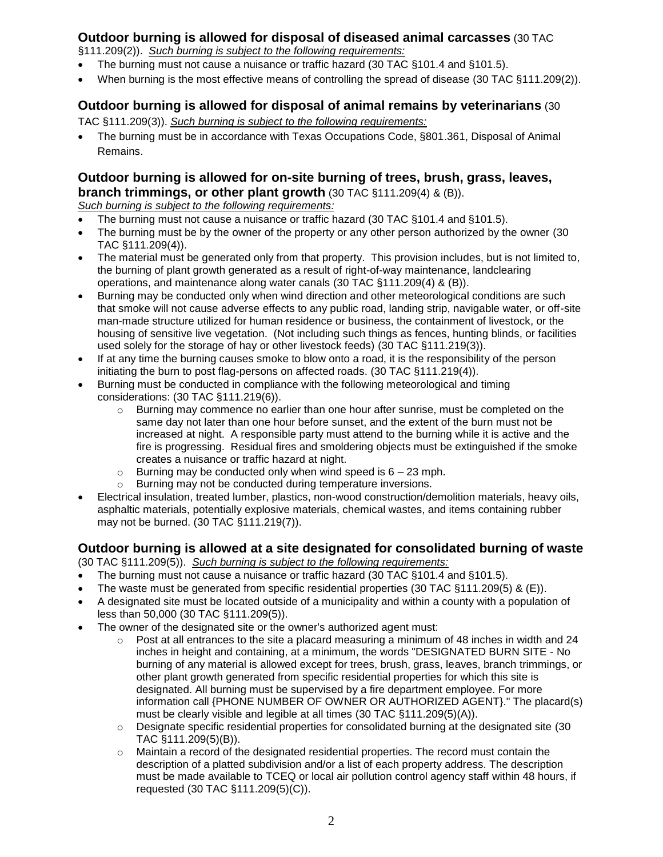#### **Outdoor burning is allowed for disposal of diseased animal carcasses** (30 TAC

§111.209(2)). *Such burning is subject to the following requirements:*

- The burning must not cause a nuisance or traffic hazard (30 TAC §101.4 and §101.5).
- When burning is the most effective means of controlling the spread of disease (30 TAC §111.209(2)).

#### **Outdoor burning is allowed for disposal of animal remains by veterinarians** (30

TAC §111.209(3)). *Such burning is subject to the following requirements:*

 The burning must be in accordance with Texas Occupations Code, §801.361, Disposal of Animal Remains.

#### **Outdoor burning is allowed for on-site burning of trees, brush, grass, leaves, branch trimmings, or other plant growth** (30 TAC §111.209(4) & (B)).

*Such burning is subject to the following requirements:*

- The burning must not cause a nuisance or traffic hazard (30 TAC §101.4 and §101.5).
- The burning must be by the owner of the property or any other person authorized by the owner (30 TAC §111.209(4)).
- The material must be generated only from that property. This provision includes, but is not limited to, the burning of plant growth generated as a result of right-of-way maintenance, landclearing operations, and maintenance along water canals (30 TAC §111.209(4) & (B)).
- Burning may be conducted only when wind direction and other meteorological conditions are such that smoke will not cause adverse effects to any public road, landing strip, navigable water, or off-site man-made structure utilized for human residence or business, the containment of livestock, or the housing of sensitive live vegetation. (Not including such things as fences, hunting blinds, or facilities used solely for the storage of hay or other livestock feeds) (30 TAC §111.219(3)).
- If at any time the burning causes smoke to blow onto a road, it is the responsibility of the person initiating the burn to post flag-persons on affected roads. (30 TAC §111.219(4)).
- Burning must be conducted in compliance with the following meteorological and timing considerations: (30 TAC §111.219(6)).
	- $\circ$  Burning may commence no earlier than one hour after sunrise, must be completed on the same day not later than one hour before sunset, and the extent of the burn must not be increased at night. A responsible party must attend to the burning while it is active and the fire is progressing. Residual fires and smoldering objects must be extinguished if the smoke creates a nuisance or traffic hazard at night.
	- $\circ$  Burning may be conducted only when wind speed is 6 23 mph.
	- o Burning may not be conducted during temperature inversions.
- Electrical insulation, treated lumber, plastics, non-wood construction/demolition materials, heavy oils, asphaltic materials, potentially explosive materials, chemical wastes, and items containing rubber may not be burned. (30 TAC §111.219(7)).

#### **Outdoor burning is allowed at a site designated for consolidated burning of waste**

(30 TAC §111.209(5)). *Such burning is subject to the following requirements:*

- The burning must not cause a nuisance or traffic hazard (30 TAC §101.4 and §101.5).
- The waste must be generated from specific residential properties (30 TAC §111.209(5) & (E)).
- A designated site must be located outside of a municipality and within a county with a population of less than 50,000 (30 TAC §111.209(5)).
- The owner of the designated site or the owner's authorized agent must:
	- $\circ$  Post at all entrances to the site a placard measuring a minimum of 48 inches in width and 24 inches in height and containing, at a minimum, the words "DESIGNATED BURN SITE - No burning of any material is allowed except for trees, brush, grass, leaves, branch trimmings, or other plant growth generated from specific residential properties for which this site is designated. All burning must be supervised by a fire department employee. For more information call {PHONE NUMBER OF OWNER OR AUTHORIZED AGENT}." The placard(s) must be clearly visible and legible at all times (30 TAC §111.209(5)(A)).
	- $\circ$  Designate specific residential properties for consolidated burning at the designated site (30 TAC §111.209(5)(B)).
	- o Maintain a record of the designated residential properties. The record must contain the description of a platted subdivision and/or a list of each property address. The description must be made available to TCEQ or local air pollution control agency staff within 48 hours, if requested (30 TAC §111.209(5)(C)).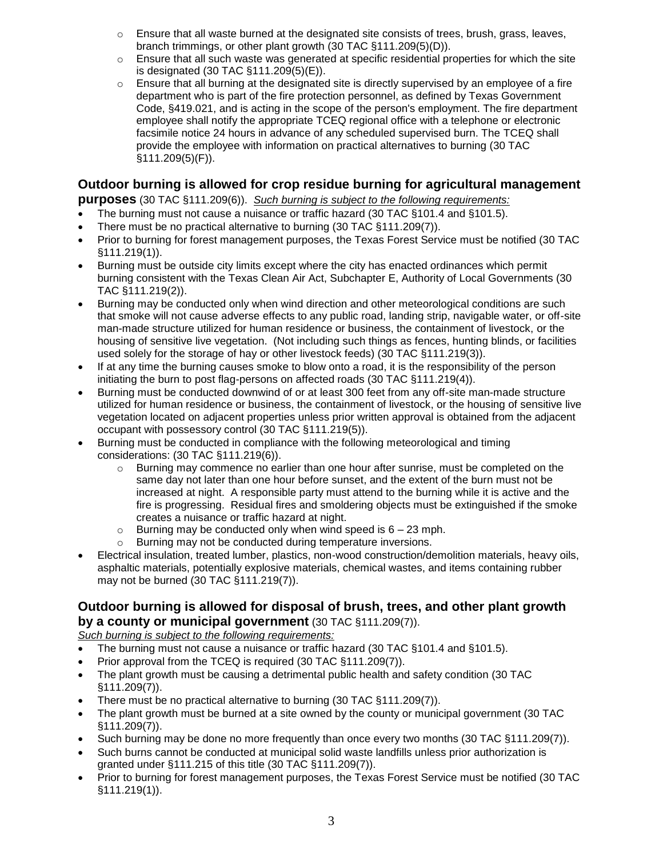- $\circ$  Ensure that all waste burned at the designated site consists of trees, brush, grass, leaves, branch trimmings, or other plant growth (30 TAC §111.209(5)(D)).
- $\circ$  Ensure that all such waste was generated at specific residential properties for which the site is designated (30 TAC §111.209(5)(E)).
- $\circ$  Ensure that all burning at the designated site is directly supervised by an employee of a fire department who is part of the fire protection personnel, as defined by Texas Government Code, §419.021, and is acting in the scope of the person's employment. The fire department employee shall notify the appropriate TCEQ regional office with a telephone or electronic facsimile notice 24 hours in advance of any scheduled supervised burn. The TCEQ shall provide the employee with information on practical alternatives to burning (30 TAC §111.209(5)(F)).

#### **Outdoor burning is allowed for crop residue burning for agricultural management**

**purposes** (30 TAC §111.209(6)). *Such burning is subject to the following requirements:*

- The burning must not cause a nuisance or traffic hazard (30 TAC §101.4 and §101.5).
- There must be no practical alternative to burning (30 TAC §111.209(7)).
- Prior to burning for forest management purposes, the Texas Forest Service must be notified (30 TAC §111.219(1)).
- Burning must be outside city limits except where the city has enacted ordinances which permit burning consistent with the Texas Clean Air Act, Subchapter E, Authority of Local Governments (30 TAC §111.219(2)).
- Burning may be conducted only when wind direction and other meteorological conditions are such that smoke will not cause adverse effects to any public road, landing strip, navigable water, or off-site man-made structure utilized for human residence or business, the containment of livestock, or the housing of sensitive live vegetation. (Not including such things as fences, hunting blinds, or facilities used solely for the storage of hay or other livestock feeds) (30 TAC §111.219(3)).
- If at any time the burning causes smoke to blow onto a road, it is the responsibility of the person initiating the burn to post flag-persons on affected roads (30 TAC §111.219(4)).
- Burning must be conducted downwind of or at least 300 feet from any off-site man-made structure utilized for human residence or business, the containment of livestock, or the housing of sensitive live vegetation located on adjacent properties unless prior written approval is obtained from the adjacent occupant with possessory control (30 TAC §111.219(5)).
- Burning must be conducted in compliance with the following meteorological and timing considerations: (30 TAC §111.219(6)).
	- $\circ$  Burning may commence no earlier than one hour after sunrise, must be completed on the same day not later than one hour before sunset, and the extent of the burn must not be increased at night. A responsible party must attend to the burning while it is active and the fire is progressing. Residual fires and smoldering objects must be extinguished if the smoke creates a nuisance or traffic hazard at night.
	- $\circ$  Burning may be conducted only when wind speed is  $6 23$  mph.
	- o Burning may not be conducted during temperature inversions.
- Electrical insulation, treated lumber, plastics, non-wood construction/demolition materials, heavy oils, asphaltic materials, potentially explosive materials, chemical wastes, and items containing rubber may not be burned (30 TAC §111.219(7)).

#### **Outdoor burning is allowed for disposal of brush, trees, and other plant growth by a county or municipal government** (30 TAC §111.209(7)).

*Such burning is subject to the following requirements:*

- The burning must not cause a nuisance or traffic hazard (30 TAC §101.4 and §101.5).
- Prior approval from the TCEQ is required (30 TAC §111.209(7)).
- The plant growth must be causing a detrimental public health and safety condition (30 TAC §111.209(7)).
- There must be no practical alternative to burning (30 TAC §111.209(7)).
- The plant growth must be burned at a site owned by the county or municipal government (30 TAC §111.209(7)).
- Such burning may be done no more frequently than once every two months (30 TAC §111.209(7)).
- Such burns cannot be conducted at municipal solid waste landfills unless prior authorization is granted under §111.215 of this title (30 TAC §111.209(7)).
- Prior to burning for forest management purposes, the Texas Forest Service must be notified (30 TAC §111.219(1)).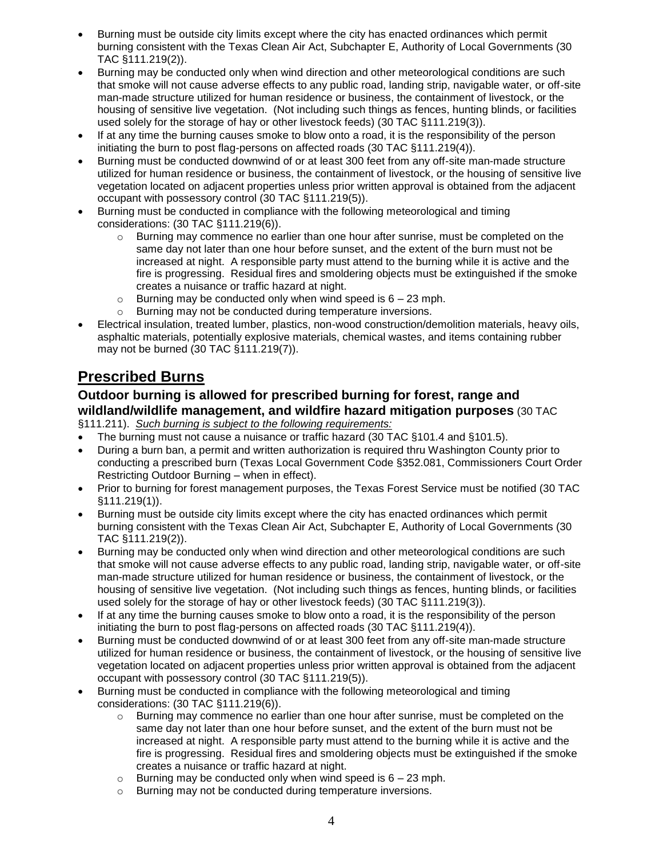- Burning must be outside city limits except where the city has enacted ordinances which permit burning consistent with the Texas Clean Air Act, Subchapter E, Authority of Local Governments (30 TAC §111.219(2)).
- Burning may be conducted only when wind direction and other meteorological conditions are such that smoke will not cause adverse effects to any public road, landing strip, navigable water, or off-site man-made structure utilized for human residence or business, the containment of livestock, or the housing of sensitive live vegetation. (Not including such things as fences, hunting blinds, or facilities used solely for the storage of hay or other livestock feeds) (30 TAC §111.219(3)).
- If at any time the burning causes smoke to blow onto a road, it is the responsibility of the person initiating the burn to post flag-persons on affected roads (30 TAC §111.219(4)).
- Burning must be conducted downwind of or at least 300 feet from any off-site man-made structure utilized for human residence or business, the containment of livestock, or the housing of sensitive live vegetation located on adjacent properties unless prior written approval is obtained from the adjacent occupant with possessory control (30 TAC §111.219(5)).
- Burning must be conducted in compliance with the following meteorological and timing considerations: (30 TAC §111.219(6)).
	- $\circ$  Burning may commence no earlier than one hour after sunrise, must be completed on the same day not later than one hour before sunset, and the extent of the burn must not be increased at night. A responsible party must attend to the burning while it is active and the fire is progressing. Residual fires and smoldering objects must be extinguished if the smoke creates a nuisance or traffic hazard at night.
	- $\circ$  Burning may be conducted only when wind speed is 6 23 mph.
	- o Burning may not be conducted during temperature inversions.
- Electrical insulation, treated lumber, plastics, non-wood construction/demolition materials, heavy oils, asphaltic materials, potentially explosive materials, chemical wastes, and items containing rubber may not be burned (30 TAC §111.219(7)).

### **Prescribed Burns**

#### **Outdoor burning is allowed for prescribed burning for forest, range and wildland/wildlife management, and wildfire hazard mitigation purposes** (30 TAC

- §111.211). *Such burning is subject to the following requirements:*
- The burning must not cause a nuisance or traffic hazard (30 TAC §101.4 and §101.5).
- During a burn ban, a permit and written authorization is required thru Washington County prior to conducting a prescribed burn (Texas Local Government Code §352.081, Commissioners Court Order Restricting Outdoor Burning – when in effect).
- Prior to burning for forest management purposes, the Texas Forest Service must be notified (30 TAC §111.219(1)).
- Burning must be outside city limits except where the city has enacted ordinances which permit burning consistent with the Texas Clean Air Act, Subchapter E, Authority of Local Governments (30 TAC §111.219(2)).
- Burning may be conducted only when wind direction and other meteorological conditions are such that smoke will not cause adverse effects to any public road, landing strip, navigable water, or off-site man-made structure utilized for human residence or business, the containment of livestock, or the housing of sensitive live vegetation. (Not including such things as fences, hunting blinds, or facilities used solely for the storage of hay or other livestock feeds) (30 TAC §111.219(3)).
- If at any time the burning causes smoke to blow onto a road, it is the responsibility of the person initiating the burn to post flag-persons on affected roads (30 TAC §111.219(4)).
- Burning must be conducted downwind of or at least 300 feet from any off-site man-made structure utilized for human residence or business, the containment of livestock, or the housing of sensitive live vegetation located on adjacent properties unless prior written approval is obtained from the adjacent occupant with possessory control (30 TAC §111.219(5)).
- Burning must be conducted in compliance with the following meteorological and timing considerations: (30 TAC §111.219(6)).
	- $\circ$  Burning may commence no earlier than one hour after sunrise, must be completed on the same day not later than one hour before sunset, and the extent of the burn must not be increased at night. A responsible party must attend to the burning while it is active and the fire is progressing. Residual fires and smoldering objects must be extinguished if the smoke creates a nuisance or traffic hazard at night.
	- $\circ$  Burning may be conducted only when wind speed is 6 23 mph.
	- o Burning may not be conducted during temperature inversions.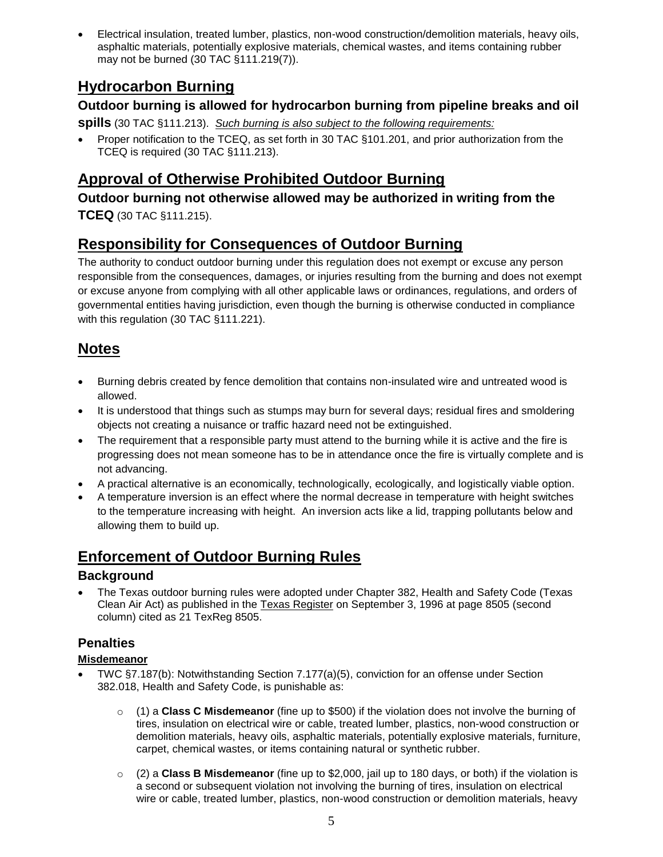Electrical insulation, treated lumber, plastics, non-wood construction/demolition materials, heavy oils, asphaltic materials, potentially explosive materials, chemical wastes, and items containing rubber may not be burned (30 TAC §111.219(7)).

### **Hydrocarbon Burning**

#### **Outdoor burning is allowed for hydrocarbon burning from pipeline breaks and oil**

**spills** (30 TAC §111.213).*Such burning is also subject to the following requirements:*

 Proper notification to the TCEQ, as set forth in 30 TAC §101.201, and prior authorization from the TCEQ is required (30 TAC §111.213).

### **Approval of Otherwise Prohibited Outdoor Burning**

**Outdoor burning not otherwise allowed may be authorized in writing from the TCEQ** (30 TAC §111.215).

### **Responsibility for Consequences of Outdoor Burning**

The authority to conduct outdoor burning under this regulation does not exempt or excuse any person responsible from the consequences, damages, or injuries resulting from the burning and does not exempt or excuse anyone from complying with all other applicable laws or ordinances, regulations, and orders of governmental entities having jurisdiction, even though the burning is otherwise conducted in compliance with this regulation (30 TAC §111.221).

### **Notes**

- Burning debris created by fence demolition that contains non-insulated wire and untreated wood is allowed.
- It is understood that things such as stumps may burn for several days; residual fires and smoldering objects not creating a nuisance or traffic hazard need not be extinguished.
- The requirement that a responsible party must attend to the burning while it is active and the fire is progressing does not mean someone has to be in attendance once the fire is virtually complete and is not advancing.
- A practical alternative is an economically, technologically, ecologically, and logistically viable option.
- A temperature inversion is an effect where the normal decrease in temperature with height switches to the temperature increasing with height. An inversion acts like a lid, trapping pollutants below and allowing them to build up.

### **Enforcement of Outdoor Burning Rules**

#### **Background**

 The Texas outdoor burning rules were adopted under Chapter 382, Health and Safety Code (Texas Clean Air Act) as published in the Texas Register on September 3, 1996 at page 8505 (second column) cited as 21 TexReg 8505.

#### **Penalties**

#### **Misdemeanor**

- TWC §7.187(b): Notwithstanding Section 7.177(a)(5), conviction for an offense under Section 382.018, Health and Safety Code, is punishable as:
	- o (1) a **Class C Misdemeanor** (fine up to \$500) if the violation does not involve the burning of tires, insulation on electrical wire or cable, treated lumber, plastics, non-wood construction or demolition materials, heavy oils, asphaltic materials, potentially explosive materials, furniture, carpet, chemical wastes, or items containing natural or synthetic rubber.
	- o (2) a **Class B Misdemeanor** (fine up to \$2,000, jail up to 180 days, or both) if the violation is a second or subsequent violation not involving the burning of tires, insulation on electrical wire or cable, treated lumber, plastics, non-wood construction or demolition materials, heavy